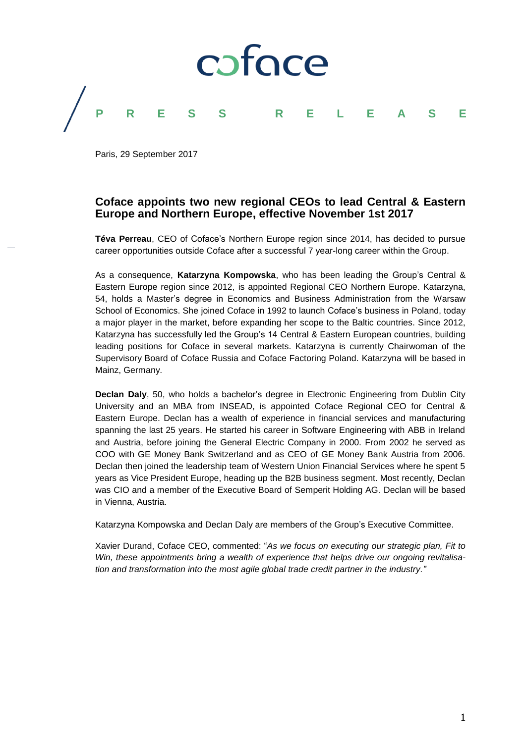

Paris, 29 September 2017

### **Coface appoints two new regional CEOs to lead Central & Eastern Europe and Northern Europe, effective November 1st 2017**

**Téva Perreau**, CEO of Coface's Northern Europe region since 2014, has decided to pursue career opportunities outside Coface after a successful 7 year-long career within the Group.

As a consequence, **Katarzyna Kompowska**, who has been leading the Group's Central & Eastern Europe region since 2012, is appointed Regional CEO Northern Europe. Katarzyna, 54, holds a Master's degree in Economics and Business Administration from the Warsaw School of Economics. She joined Coface in 1992 to launch Coface's business in Poland, today a major player in the market, before expanding her scope to the Baltic countries. Since 2012, Katarzyna has successfully led the Group's 14 Central & Eastern European countries, building leading positions for Coface in several markets. Katarzyna is currently Chairwoman of the Supervisory Board of Coface Russia and Coface Factoring Poland. Katarzyna will be based in Mainz, Germany.

**Declan Daly**, 50, who holds a bachelor's degree in Electronic Engineering from Dublin City University and an MBA from INSEAD, is appointed Coface Regional CEO for Central & Eastern Europe. Declan has a wealth of experience in financial services and manufacturing spanning the last 25 years. He started his career in Software Engineering with ABB in Ireland and Austria, before joining the General Electric Company in 2000. From 2002 he served as COO with GE Money Bank Switzerland and as CEO of GE Money Bank Austria from 2006. Declan then joined the leadership team of Western Union Financial Services where he spent 5 years as Vice President Europe, heading up the B2B business segment. Most recently, Declan was CIO and a member of the Executive Board of Semperit Holding AG. Declan will be based in Vienna, Austria.

Katarzyna Kompowska and Declan Daly are members of the Group's Executive Committee.

Xavier Durand, Coface CEO, commented: "*As we focus on executing our strategic plan, Fit to Win, these appointments bring a wealth of experience that helps drive our ongoing revitalisation and transformation into the most agile global trade credit partner in the industry."*